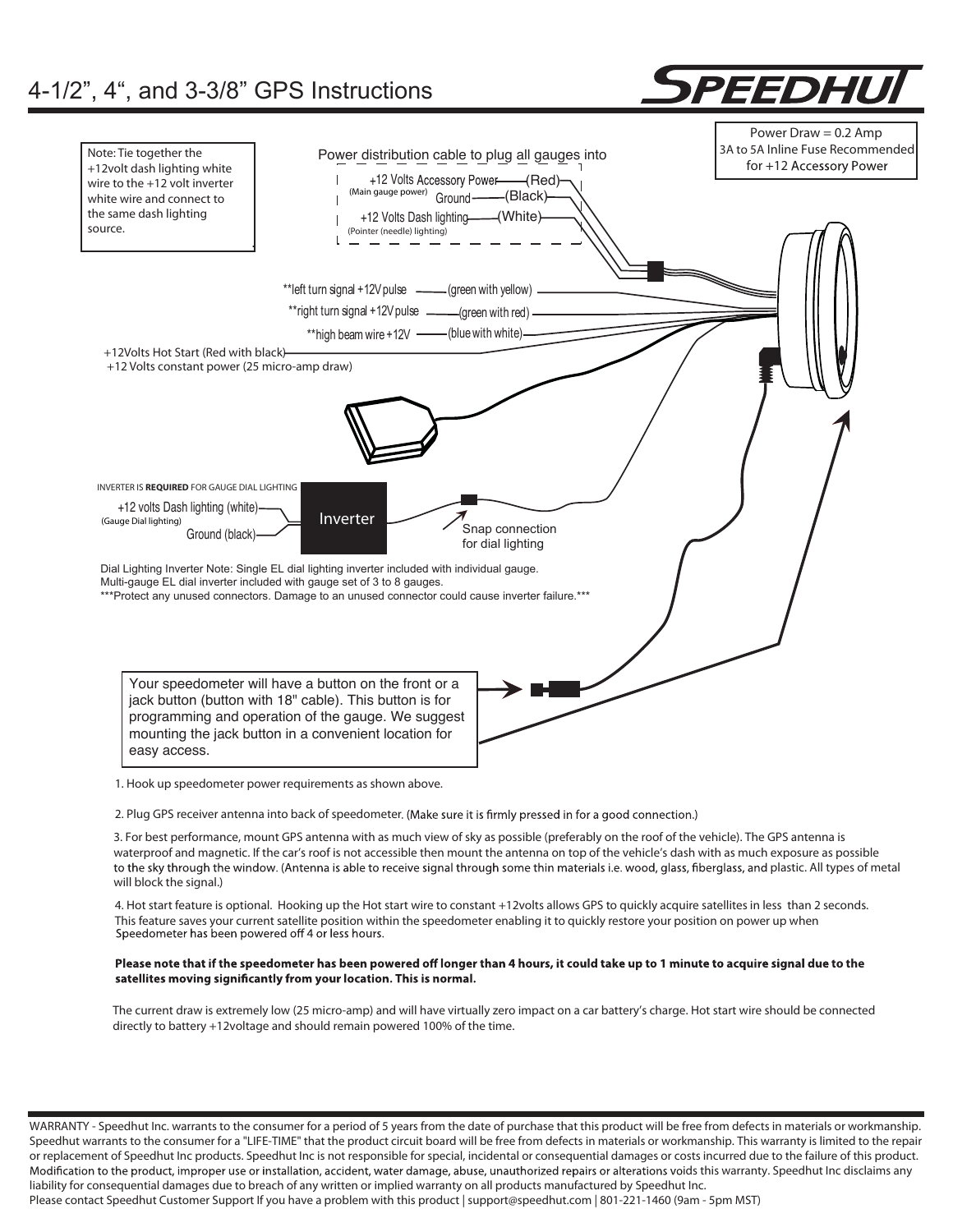

2. Plug GPS receiver antenna into back of speedometer. (Make sure it is firmly pressed in for a good connection.)

3. For best performance, mount GPS antenna with as much view of sky as possible (preferably on the roof of the vehicle). The GPS antenna is waterproof and magnetic. If the car's roof is not accessible then mount the antenna on top of the vehicle's dash with as much exposure as possible to the sky through the window. (Antenna is able to receive signal through some thin materials i.e. wood, glass, fiberglass, and plastic. All types of metal will block the signal.)

4. Hot start feature is optional. Hooking up the Hot start wire to constant +12volts allows GPS to quickly acquire satellites in less than 2 seconds. This feature saves your current satellite position within the speedometer enabling it to quickly restore your position on power up when<br>Speedometer has been powered off 4 or less hours.

#### Please note that if the speedometer has been powered off longer than 4 hours, it could take up to 1 minute to acquire signal due to the satellites moving significantly from your location. This is normal.

The current draw is extremely low (25 micro-amp) and will have virtually zero impact on a car battery's charge. Hot start wire should be connected directly to battery +12voltage and should remain powered 100% of the time.

WARRANTY - Speedhut Inc. warrants to the consumer for a period of 5 years from the date of purchase that this product will be free from defects in materials or workmanship. Speedhut warrants to the consumer for a "LIFE-TIME" that the product circuit board will be free from defects in materials or workmanship. This warranty is limited to the repair or replacement of Speedhut Inc products. Speedhut Inc is not responsible for special, incidental or consequential damages or costs incurred due to the failure of this product. Modification to the product, improper use or installation, accident, water damage, abuse, unauthorized repairs or alterations voids this warranty. Speedhut Inc disclaims any liability for consequential damages due to breach of any written or implied warranty on all products manufactured by Speedhut Inc.

Please contact Speedhut Customer Support If you have a problem with this product | support@speedhut.com | 801-221-1460 (9am - 5pm MST)